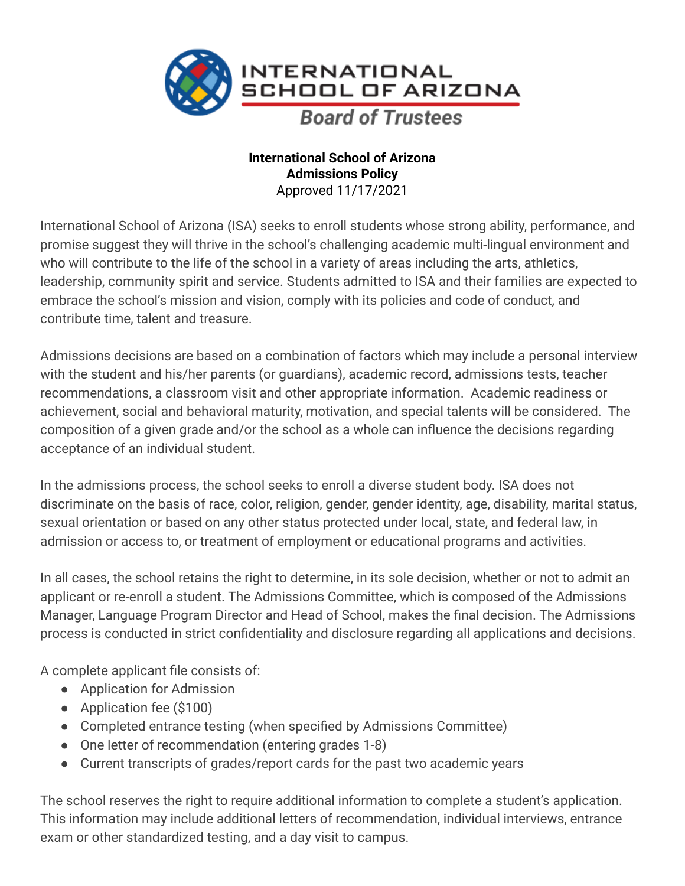

#### **International School of Arizona Admissions Policy** Approved 11/17/2021

International School of Arizona (ISA) seeks to enroll students whose strong ability, performance, and promise suggest they will thrive in the school's challenging academic multi-lingual environment and who will contribute to the life of the school in a variety of areas including the arts, athletics, leadership, community spirit and service. Students admitted to ISA and their families are expected to embrace the school's mission and vision, comply with its policies and code of conduct, and contribute time, talent and treasure.

Admissions decisions are based on a combination of factors which may include a personal interview with the student and his/her parents (or guardians), academic record, admissions tests, teacher recommendations, a classroom visit and other appropriate information. Academic readiness or achievement, social and behavioral maturity, motivation, and special talents will be considered. The composition of a given grade and/or the school as a whole can influence the decisions regarding acceptance of an individual student.

In the admissions process, the school seeks to enroll a diverse student body. ISA does not discriminate on the basis of race, color, religion, gender, gender identity, age, disability, marital status, sexual orientation or based on any other status protected under local, state, and federal law, in admission or access to, or treatment of employment or educational programs and activities.

In all cases, the school retains the right to determine, in its sole decision, whether or not to admit an applicant or re-enroll a student. The Admissions Committee, which is composed of the Admissions Manager, Language Program Director and Head of School, makes the final decision. The Admissions process is conducted in strict confidentiality and disclosure regarding all applications and decisions.

A complete applicant file consists of:

- Application for Admission
- Application fee (\$100)
- Completed entrance testing (when specified by Admissions Committee)
- One letter of recommendation (entering grades 1-8)
- Current transcripts of grades/report cards for the past two academic years

The school reserves the right to require additional information to complete a student's application. This information may include additional letters of recommendation, individual interviews, entrance exam or other standardized testing, and a day visit to campus.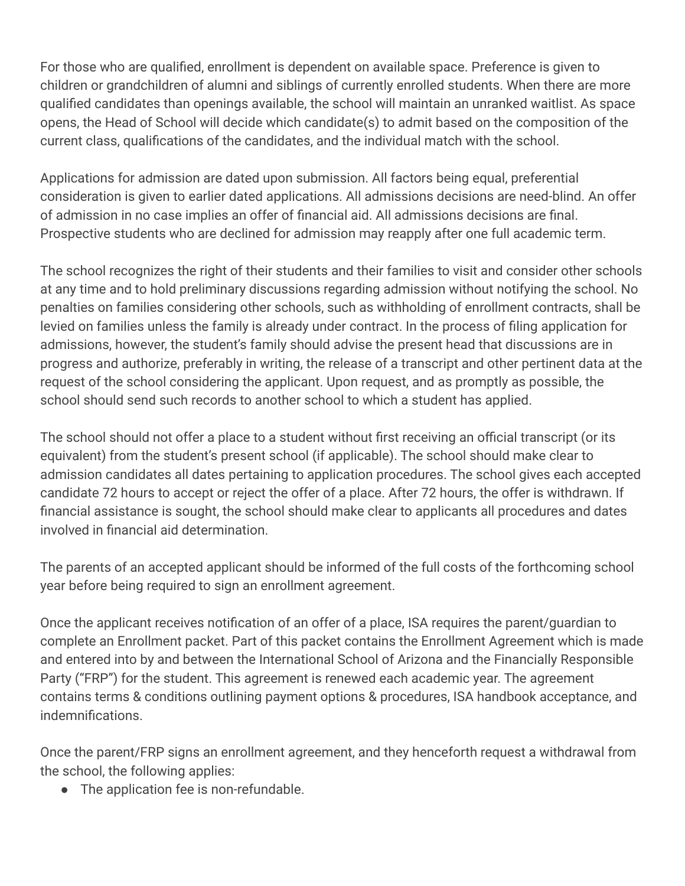For those who are qualified, enrollment is dependent on available space. Preference is given to children or grandchildren of alumni and siblings of currently enrolled students. When there are more qualified candidates than openings available, the school will maintain an unranked waitlist. As space opens, the Head of School will decide which candidate(s) to admit based on the composition of the current class, qualifications of the candidates, and the individual match with the school.

Applications for admission are dated upon submission. All factors being equal, preferential consideration is given to earlier dated applications. All admissions decisions are need-blind. An offer of admission in no case implies an offer of financial aid. All admissions decisions are final. Prospective students who are declined for admission may reapply after one full academic term.

The school recognizes the right of their students and their families to visit and consider other schools at any time and to hold preliminary discussions regarding admission without notifying the school. No penalties on families considering other schools, such as withholding of enrollment contracts, shall be levied on families unless the family is already under contract. In the process of filing application for admissions, however, the student's family should advise the present head that discussions are in progress and authorize, preferably in writing, the release of a transcript and other pertinent data at the request of the school considering the applicant. Upon request, and as promptly as possible, the school should send such records to another school to which a student has applied.

The school should not offer a place to a student without first receiving an official transcript (or its equivalent) from the student's present school (if applicable). The school should make clear to admission candidates all dates pertaining to application procedures. The school gives each accepted candidate 72 hours to accept or reject the offer of a place. After 72 hours, the offer is withdrawn. If financial assistance is sought, the school should make clear to applicants all procedures and dates involved in financial aid determination.

The parents of an accepted applicant should be informed of the full costs of the forthcoming school year before being required to sign an enrollment agreement.

Once the applicant receives notification of an offer of a place, ISA requires the parent/guardian to complete an Enrollment packet. Part of this packet contains the Enrollment Agreement which is made and entered into by and between the International School of Arizona and the Financially Responsible Party ("FRP") for the student. This agreement is renewed each academic year. The agreement contains terms & conditions outlining payment options & procedures, ISA handbook acceptance, and indemnifications.

Once the parent/FRP signs an enrollment agreement, and they henceforth request a withdrawal from the school, the following applies:

● The application fee is non-refundable.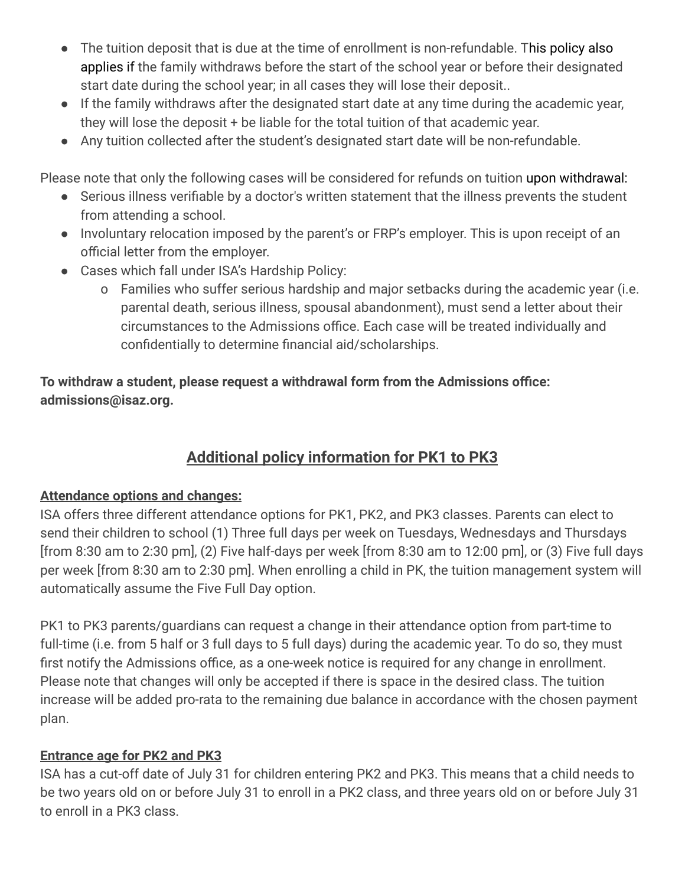- The tuition deposit that is due at the time of enrollment is non-refundable. This policy also applies if the family withdraws before the start of the school year or before their designated start date during the school year; in all cases they will lose their deposit..
- If the family withdraws after the designated start date at any time during the academic year, they will lose the deposit + be liable for the total tuition of that academic year.
- Any tuition collected after the student's designated start date will be non-refundable.

Please note that only the following cases will be considered for refunds on tuition upon withdrawal:

- Serious illness verifiable by a doctor's written statement that the illness prevents the student from attending a school.
- Involuntary relocation imposed by the parent's or FRP's employer. This is upon receipt of an official letter from the employer.
- Cases which fall under ISA's Hardship Policy:
	- o Families who suffer serious hardship and major setbacks during the academic year (i.e. parental death, serious illness, spousal abandonment), must send a letter about their circumstances to the Admissions office. Each case will be treated individually and confidentially to determine financial aid/scholarships.

## **To withdraw a student, please request a withdrawal form from the Admissions office: admissions@isaz.org.**

# **Additional policy information for PK1 to PK3**

### **Attendance options and changes:**

ISA offers three different attendance options for PK1, PK2, and PK3 classes. Parents can elect to send their children to school (1) Three full days per week on Tuesdays, Wednesdays and Thursdays [from 8:30 am to 2:30 pm], (2) Five half-days per week [from 8:30 am to 12:00 pm], or (3) Five full days per week [from 8:30 am to 2:30 pm]. When enrolling a child in PK, the tuition management system will automatically assume the Five Full Day option.

PK1 to PK3 parents/guardians can request a change in their attendance option from part-time to full-time (i.e. from 5 half or 3 full days to 5 full days) during the academic year. To do so, they must first notify the Admissions office, as a one-week notice is required for any change in enrollment. Please note that changes will only be accepted if there is space in the desired class. The tuition increase will be added pro-rata to the remaining due balance in accordance with the chosen payment plan.

### **Entrance age for PK2 and PK3**

ISA has a cut-off date of July 31 for children entering PK2 and PK3. This means that a child needs to be two years old on or before July 31 to enroll in a PK2 class, and three years old on or before July 31 to enroll in a PK3 class.